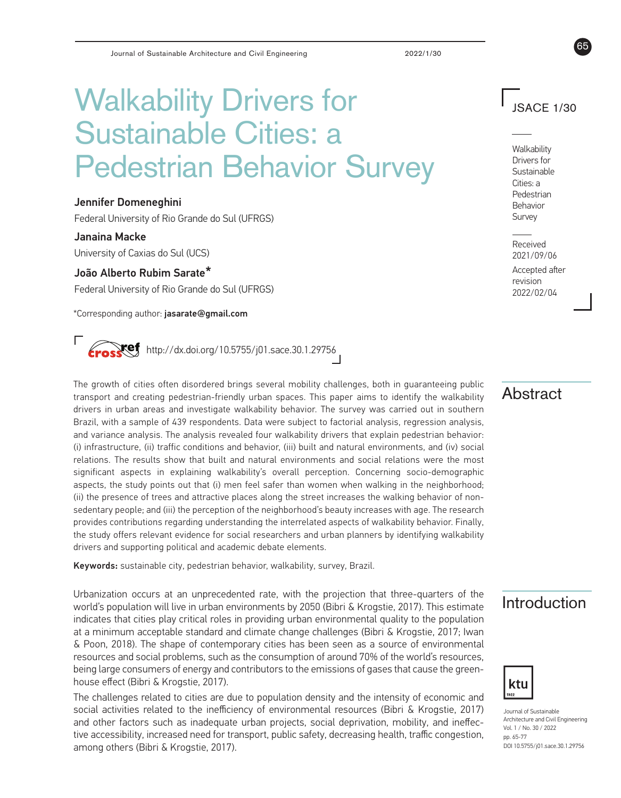# Walkability Drivers for Sustainable Cities: a Pedestrian Behavior Survey

#### Jennifer Domeneghini

Federal University of Rio Grande do Sul (UFRGS)

#### Janaina Macke

University of Caxias do Sul (UCS)

### João Alberto Rubim Sarate\*

Federal University of Rio Grande do Sul (UFRGS)

\*Corresponding author: jasarate@gmail.com

 $\mathsf{Kef}$  http://dx.doi.org/10.5755/j01.sace.30.1.29756

#### The growth of cities often disordered brings several mobility challenges, both in guaranteeing public transport and creating pedestrian-friendly urban spaces. This paper aims to identify the walkability drivers in urban areas and investigate walkability behavior. The survey was carried out in southern Brazil, with a sample of 439 respondents. Data were subject to factorial analysis, regression analysis, and variance analysis. The analysis revealed four walkability drivers that explain pedestrian behavior: (i) infrastructure, (ii) traffic conditions and behavior, (iii) built and natural environments, and (iv) social relations. The results show that built and natural environments and social relations were the most significant aspects in explaining walkability's overall perception. Concerning socio-demographic aspects, the study points out that (i) men feel safer than women when walking in the neighborhood; (ii) the presence of trees and attractive places along the street increases the walking behavior of nonsedentary people; and (iii) the perception of the neighborhood's beauty increases with age. The research provides contributions regarding understanding the interrelated aspects of walkability behavior. Finally, the study offers relevant evidence for social researchers and urban planners by identifying walkability drivers and supporting political and academic debate elements.

Keywords: sustainable city, pedestrian behavior, walkability, survey, Brazil.

Urbanization occurs at an unprecedented rate, with the projection that three-quarters of the Introduction<br>world's population will live in urban environments by 2050 (Bibri & Krogstie, 2017). This estimate Introduction indicates that cities play critical roles in providing urban environmental quality to the population at a minimum acceptable standard and climate change challenges (Bibri & Krogstie, 2017; Iwan & Poon, 2018). The shape of contemporary cities has been seen as a source of environmental resources and social problems, such as the consumption of around 70% of the world's resources, being large consumers of energy and contributors to the emissions of gases that cause the greenhouse effect (Bibri & Krogstie, 2017).

The challenges related to cities are due to population density and the intensity of economic and social activities related to the inefficiency of environmental resources (Bibri & Krogstie, 2017) and other factors such as inadequate urban projects, social deprivation, mobility, and ineffective accessibility, increased need for transport, public safety, decreasing health, traffic congestion, among others (Bibri & Krogstie, 2017).

JSACE 1/30

65

**Walkability** Drivers for Sustainable Cities: a Pedestrian Behavior Survey

Received 2021/09/06

Accepted after revision 2022/02/04

## Abstract



Journal of Sustainable Architecture and Civil Engineering Vol. 1 / No. 30 / 2022 pp. 65-77 DOI 10.5755/j01.sace.30.1.29756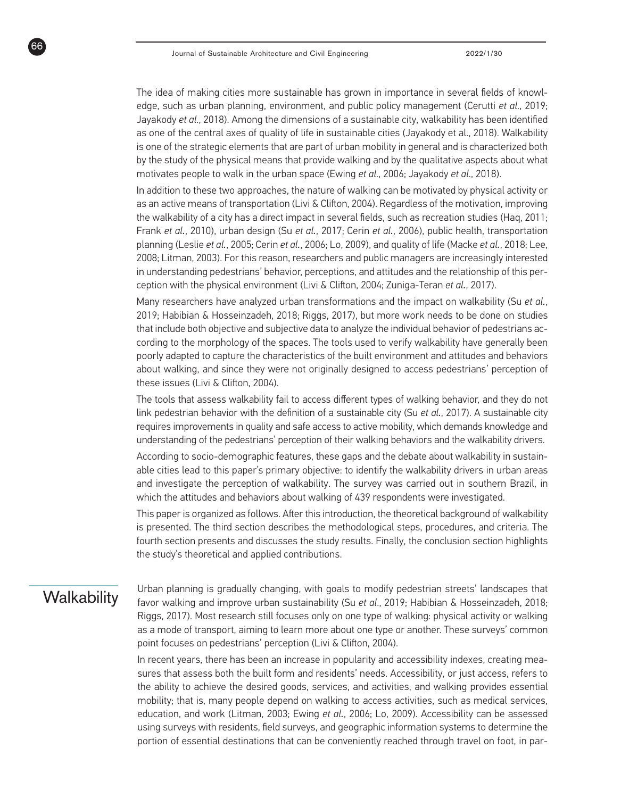The idea of making cities more sustainable has grown in importance in several fields of knowledge, such as urban planning, environment, and public policy management (Cerutti *et al*., 2019; Jayakody *et al*., 2018). Among the dimensions of a sustainable city, walkability has been identified as one of the central axes of quality of life in sustainable cities (Jayakody et al., 2018). Walkability is one of the strategic elements that are part of urban mobility in general and is characterized both by the study of the physical means that provide walking and by the qualitative aspects about what motivates people to walk in the urban space (Ewing *et al*., 2006; Jayakody *et al*., 2018).

In addition to these two approaches, the nature of walking can be motivated by physical activity or as an active means of transportation (Livi & Clifton, 2004). Regardless of the motivation, improving the walkability of a city has a direct impact in several fields, such as recreation studies (Haq, 2011; Frank *et al.*, 2010), urban design (Su *et al.*, 2017; Cerin *et al.*, 2006), public health, transportation planning (Leslie *et al.*, 2005; Cerin *et al.*, 2006; Lo, 2009), and quality of life (Macke *et al.*, 2018; Lee, 2008; Litman, 2003). For this reason, researchers and public managers are increasingly interested in understanding pedestrians' behavior, perceptions, and attitudes and the relationship of this perception with the physical environment (Livi & Clifton, 2004; Zuniga-Teran *et al.*, 2017).

Many researchers have analyzed urban transformations and the impact on walkability (Su *et al.*, 2019; Habibian & Hosseinzadeh, 2018; Riggs, 2017), but more work needs to be done on studies that include both objective and subjective data to analyze the individual behavior of pedestrians according to the morphology of the spaces. The tools used to verify walkability have generally been poorly adapted to capture the characteristics of the built environment and attitudes and behaviors about walking, and since they were not originally designed to access pedestrians' perception of these issues (Livi & Clifton, 2004).

The tools that assess walkability fail to access different types of walking behavior, and they do not link pedestrian behavior with the definition of a sustainable city (Su *et al.*, 2017). A sustainable city requires improvements in quality and safe access to active mobility, which demands knowledge and understanding of the pedestrians' perception of their walking behaviors and the walkability drivers.

According to socio-demographic features, these gaps and the debate about walkability in sustainable cities lead to this paper's primary objective: to identify the walkability drivers in urban areas and investigate the perception of walkability. The survey was carried out in southern Brazil, in which the attitudes and behaviors about walking of 439 respondents were investigated.

This paper is organized as follows. After this introduction, the theoretical background of walkability is presented. The third section describes the methodological steps, procedures, and criteria. The fourth section presents and discusses the study results. Finally, the conclusion section highlights the study's theoretical and applied contributions.

66

Walkability Urban planning is gradually changing, with goals to modify pedestrian streets' landscapes that favor walking and improve urban sustainability (Su *et al*., 2019; Habibian & Hosseinzadeh, 2018; Riggs, 2017). Most research still focuses only on one type of walking: physical activity or walking as a mode of transport, aiming to learn more about one type or another. These surveys' common point focuses on pedestrians' perception (Livi & Clifton, 2004).

> In recent years, there has been an increase in popularity and accessibility indexes, creating measures that assess both the built form and residents' needs. Accessibility, or just access, refers to the ability to achieve the desired goods, services, and activities, and walking provides essential mobility; that is, many people depend on walking to access activities, such as medical services, education, and work (Litman, 2003; Ewing *et al.*, 2006; Lo, 2009). Accessibility can be assessed using surveys with residents, field surveys, and geographic information systems to determine the portion of essential destinations that can be conveniently reached through travel on foot, in par-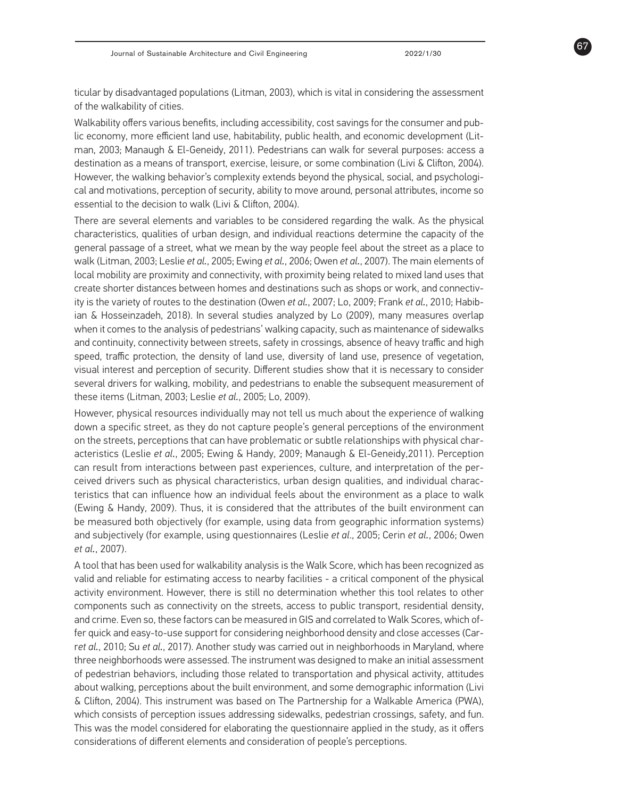67

ticular by disadvantaged populations (Litman, 2003), which is vital in considering the assessment of the walkability of cities.

Walkability offers various benefits, including accessibility, cost savings for the consumer and public economy, more efficient land use, habitability, public health, and economic development (Litman, 2003; Manaugh & El-Geneidy, 2011). Pedestrians can walk for several purposes: access a destination as a means of transport, exercise, leisure, or some combination (Livi & Clifton, 2004). However, the walking behavior's complexity extends beyond the physical, social, and psychological and motivations, perception of security, ability to move around, personal attributes, income so essential to the decision to walk (Livi & Clifton, 2004).

There are several elements and variables to be considered regarding the walk. As the physical characteristics, qualities of urban design, and individual reactions determine the capacity of the general passage of a street, what we mean by the way people feel about the street as a place to walk (Litman, 2003; Leslie *et al.*, 2005; Ewing *et al.*, 2006; Owen *et al.*, 2007). The main elements of local mobility are proximity and connectivity, with proximity being related to mixed land uses that create shorter distances between homes and destinations such as shops or work, and connectivity is the variety of routes to the destination (Owen *et al.*, 2007; Lo, 2009; Frank *et al.*, 2010; Habibian & Hosseinzadeh, 2018). In several studies analyzed by Lo (2009), many measures overlap when it comes to the analysis of pedestrians' walking capacity, such as maintenance of sidewalks and continuity, connectivity between streets, safety in crossings, absence of heavy traffic and high speed, traffic protection, the density of land use, diversity of land use, presence of vegetation, visual interest and perception of security. Different studies show that it is necessary to consider several drivers for walking, mobility, and pedestrians to enable the subsequent measurement of these items (Litman, 2003; Leslie *et al.*, 2005; Lo, 2009).

However, physical resources individually may not tell us much about the experience of walking down a specific street, as they do not capture people's general perceptions of the environment on the streets, perceptions that can have problematic or subtle relationships with physical characteristics (Leslie *et al.*, 2005; Ewing & Handy, 2009; Manaugh & El-Geneidy,2011). Perception can result from interactions between past experiences, culture, and interpretation of the perceived drivers such as physical characteristics, urban design qualities, and individual characteristics that can influence how an individual feels about the environment as a place to walk (Ewing & Handy, 2009). Thus, it is considered that the attributes of the built environment can be measured both objectively (for example, using data from geographic information systems) and subjectively (for example, using questionnaires (Leslie *et al*., 2005; Cerin *et al.*, 2006; Owen *et al.*, 2007).

A tool that has been used for walkability analysis is the Walk Score, which has been recognized as valid and reliable for estimating access to nearby facilities - a critical component of the physical activity environment. However, there is still no determination whether this tool relates to other components such as connectivity on the streets, access to public transport, residential density, and crime. Even so, these factors can be measured in GIS and correlated to Walk Scores, which offer quick and easy-to-use support for considering neighborhood density and close accesses (Carr*et al.*, 2010; Su *et al.*, 2017). Another study was carried out in neighborhoods in Maryland, where three neighborhoods were assessed. The instrument was designed to make an initial assessment of pedestrian behaviors, including those related to transportation and physical activity, attitudes about walking, perceptions about the built environment, and some demographic information (Livi & Clifton, 2004). This instrument was based on The Partnership for a Walkable America (PWA), which consists of perception issues addressing sidewalks, pedestrian crossings, safety, and fun. This was the model considered for elaborating the questionnaire applied in the study, as it offers considerations of different elements and consideration of people's perceptions.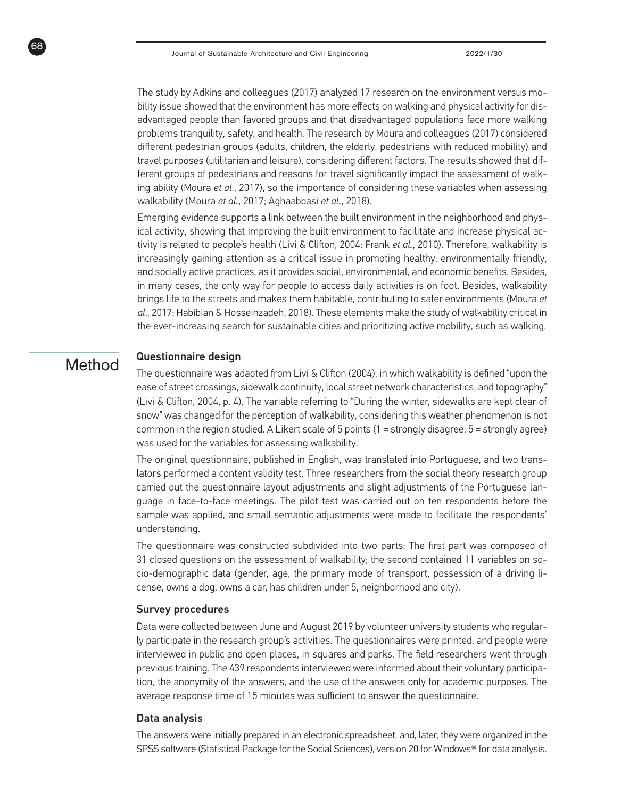The study by Adkins and colleagues (2017) analyzed 17 research on the environment versus mobility issue showed that the environment has more effects on walking and physical activity for disadvantaged people than favored groups and that disadvantaged populations face more walking problems tranquility, safety, and health. The research by Moura and colleagues (2017) considered different pedestrian groups (adults, children, the elderly, pedestrians with reduced mobility) and travel purposes (utilitarian and leisure), considering different factors. The results showed that different groups of pedestrians and reasons for travel significantly impact the assessment of walking ability (Moura *et al*., 2017), so the importance of considering these variables when assessing walkability (Moura *et al.*, 2017; Aghaabbasi *et al.*, 2018).

Emerging evidence supports a link between the built environment in the neighborhood and physical activity, showing that improving the built environment to facilitate and increase physical activity is related to people's health (Livi & Clifton, 2004; Frank *et al.*, 2010). Therefore, walkability is increasingly gaining attention as a critical issue in promoting healthy, environmentally friendly, and socially active practices, as it provides social, environmental, and economic benefits. Besides, in many cases, the only way for people to access daily activities is on foot. Besides, walkability brings life to the streets and makes them habitable, contributing to safer environments (Moura *et al*., 2017; Habibian & Hosseinzadeh, 2018). These elements make the study of walkability critical in the ever-increasing search for sustainable cities and prioritizing active mobility, such as walking.

## Method Questionnaire design

68

The questionnaire was adapted from Livi & Clifton (2004), in which walkability is defined "upon the ease of street crossings, sidewalk continuity, local street network characteristics, and topography" (Livi & Clifton, 2004, p. 4). The variable referring to "During the winter, sidewalks are kept clear of snow" was changed for the perception of walkability, considering this weather phenomenon is not common in the region studied. A Likert scale of 5 points (1 = strongly disagree; 5 = strongly agree) was used for the variables for assessing walkability.

The original questionnaire, published in English, was translated into Portuguese, and two translators performed a content validity test. Three researchers from the social theory research group carried out the questionnaire layout adjustments and slight adjustments of the Portuguese language in face-to-face meetings. The pilot test was carried out on ten respondents before the sample was applied, and small semantic adjustments were made to facilitate the respondents' understanding.

The questionnaire was constructed subdivided into two parts: The first part was composed of 31 closed questions on the assessment of walkability; the second contained 11 variables on socio-demographic data (gender, age, the primary mode of transport, possession of a driving license, owns a dog, owns a car, has children under 5, neighborhood and city).

#### Survey procedures

Data were collected between June and August 2019 by volunteer university students who regularly participate in the research group's activities. The questionnaires were printed, and people were interviewed in public and open places, in squares and parks. The field researchers went through previous training. The 439 respondents interviewed were informed about their voluntary participation, the anonymity of the answers, and the use of the answers only for academic purposes. The average response time of 15 minutes was sufficient to answer the questionnaire.

#### Data analysis

The answers were initially prepared in an electronic spreadsheet, and, later, they were organized in the SPSS software (Statistical Package for the Social Sciences), version 20 for Windows® for data analysis.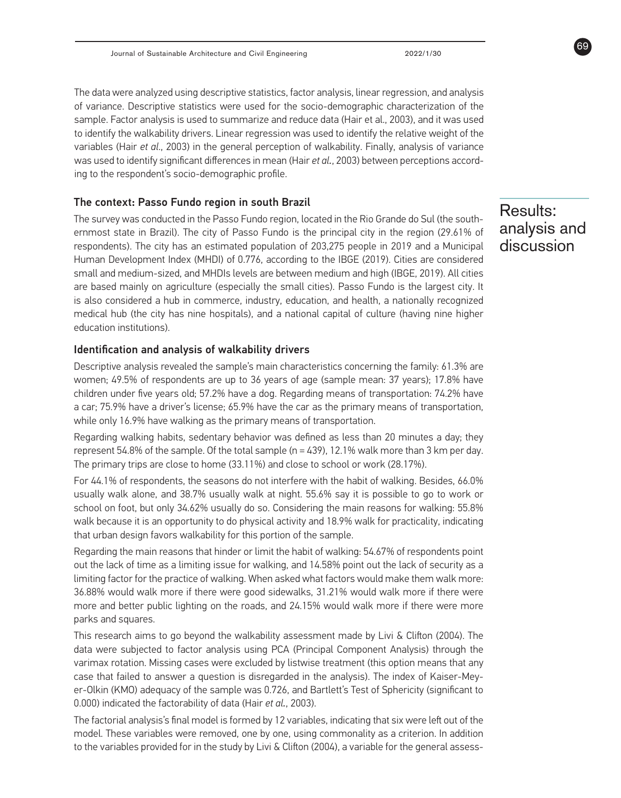The data were analyzed using descriptive statistics, factor analysis, linear regression, and analysis of variance. Descriptive statistics were used for the socio-demographic characterization of the sample. Factor analysis is used to summarize and reduce data (Hair et al., 2003), and it was used to identify the walkability drivers. Linear regression was used to identify the relative weight of the variables (Hair *et al*., 2003) in the general perception of walkability. Finally, analysis of variance was used to identify significant differences in mean (Hair *et al.*, 2003) between perceptions according to the respondent's socio-demographic profile.

#### The context: Passo Fundo region in south Brazil

The survey was conducted in the Passo Fundo region, located in the Rio Grande do Sul (the southernmost state in Brazil). The city of Passo Fundo is the principal city in the region (29.61% of respondents). The city has an estimated population of 203,275 people in 2019 and a Municipal Human Development Index (MHDI) of 0.776, according to the IBGE (2019). Cities are considered small and medium-sized, and MHDIs levels are between medium and high (IBGE, 2019). All cities are based mainly on agriculture (especially the small cities). Passo Fundo is the largest city. It is also considered a hub in commerce, industry, education, and health, a nationally recognized medical hub (the city has nine hospitals), and a national capital of culture (having nine higher education institutions).

#### Identification and analysis of walkability drivers

Descriptive analysis revealed the sample's main characteristics concerning the family: 61.3% are women; 49.5% of respondents are up to 36 years of age (sample mean: 37 years); 17.8% have children under five years old; 57.2% have a dog. Regarding means of transportation: 74.2% have a car; 75.9% have a driver's license; 65.9% have the car as the primary means of transportation, while only 16.9% have walking as the primary means of transportation.

Regarding walking habits, sedentary behavior was defined as less than 20 minutes a day; they represent 54.8% of the sample. Of the total sample (n = 439), 12.1% walk more than 3 km per day. The primary trips are close to home (33.11%) and close to school or work (28.17%).

For 44.1% of respondents, the seasons do not interfere with the habit of walking. Besides, 66.0% usually walk alone, and 38.7% usually walk at night. 55.6% say it is possible to go to work or school on foot, but only 34.62% usually do so. Considering the main reasons for walking: 55.8% walk because it is an opportunity to do physical activity and 18.9% walk for practicality, indicating that urban design favors walkability for this portion of the sample.

Regarding the main reasons that hinder or limit the habit of walking: 54.67% of respondents point out the lack of time as a limiting issue for walking, and 14.58% point out the lack of security as a limiting factor for the practice of walking. When asked what factors would make them walk more: 36.88% would walk more if there were good sidewalks, 31.21% would walk more if there were more and better public lighting on the roads, and 24.15% would walk more if there were more parks and squares.

This research aims to go beyond the walkability assessment made by Livi & Clifton (2004). The data were subjected to factor analysis using PCA (Principal Component Analysis) through the varimax rotation. Missing cases were excluded by listwise treatment (this option means that any case that failed to answer a question is disregarded in the analysis). The index of Kaiser-Meyer-Olkin (KMO) adequacy of the sample was 0.726, and Bartlett's Test of Sphericity (significant to 0.000) indicated the factorability of data (Hair *et al.*, 2003).

The factorial analysis's final model is formed by 12 variables, indicating that six were left out of the model. These variables were removed, one by one, using commonality as a criterion. In addition to the variables provided for in the study by Livi & Clifton (2004), a variable for the general assess-

## Results: analysis and discussion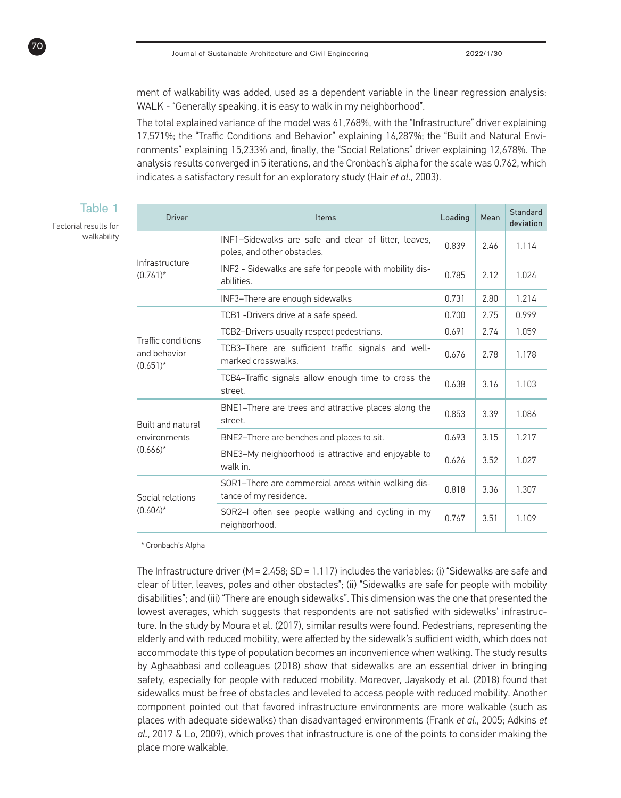ment of walkability was added, used as a dependent variable in the linear regression analysis: WALK - "Generally speaking, it is easy to walk in my neighborhood".

The total explained variance of the model was 61,768%, with the "Infrastructure" driver explaining 17,571%; the "Traffic Conditions and Behavior" explaining 16,287%; the "Built and Natural Environments" explaining 15,233% and, finally, the "Social Relations" driver explaining 12,678%. The analysis results converged in 5 iterations, and the Cronbach's alpha for the scale was 0.762, which indicates a satisfactory result for an exploratory study (Hair *et al*., 2003).

| <b>Driver</b>                                           | Items                                                                               | Loading | Mean | Standard<br>deviation |
|---------------------------------------------------------|-------------------------------------------------------------------------------------|---------|------|-----------------------|
| Infrastructure<br>$(0.761)^*$                           | INF1-Sidewalks are safe and clear of litter, leaves,<br>poles, and other obstacles. | 0.839   | 2.46 | 1.114                 |
|                                                         | INF2 - Sidewalks are safe for people with mobility dis-<br>abilities.               | 0.785   | 2.12 | 1.024                 |
|                                                         | INF3-There are enough sidewalks                                                     | 0.731   | 2.80 | 1.214                 |
|                                                         | TCB1 - Drivers drive at a safe speed.                                               | 0.700   | 2.75 | 0.999                 |
| Traffic conditions<br>and behavior<br>$(0.651)^*$       | TCB2-Drivers usually respect pedestrians.                                           | 0.691   | 2.74 | 1.059                 |
|                                                         | TCB3-There are sufficient traffic signals and well-<br>marked crosswalks.           | 0.676   | 2.78 | 1.178                 |
|                                                         | TCB4-Traffic signals allow enough time to cross the<br>street.                      | 0.638   | 3.16 | 1.103                 |
| <b>Built and natural</b><br>environments<br>$(0.666)^*$ | BNE1–There are trees and attractive places along the<br>street.                     | 0.853   | 3.39 | 1.086                 |
|                                                         | BNE2-There are benches and places to sit.                                           | 0.693   | 3.15 | 1.217                 |
|                                                         | BNE3-My neighborhood is attractive and enjoyable to<br>walk in.                     | 0.626   | 3.52 | 1.027                 |
| Social relations<br>$(0.604)^*$                         | SOR1-There are commercial areas within walking dis-<br>tance of my residence.       | 0.818   | 3.36 | 1.307                 |
|                                                         | SOR2-I often see people walking and cycling in my<br>neighborhood.                  | 0.767   | 3.51 | 1.109                 |

\* Cronbach's Alpha

The Infrastructure driver ( $M = 2.458$ ; SD = 1.117) includes the variables: (i) "Sidewalks are safe and clear of litter, leaves, poles and other obstacles"; (ii) "Sidewalks are safe for people with mobility disabilities"; and (iii) "There are enough sidewalks". This dimension was the one that presented the lowest averages, which suggests that respondents are not satisfied with sidewalks' infrastructure. In the study by Moura et al. (2017), similar results were found. Pedestrians, representing the elderly and with reduced mobility, were affected by the sidewalk's sufficient width, which does not accommodate this type of population becomes an inconvenience when walking. The study results by Aghaabbasi and colleagues (2018) show that sidewalks are an essential driver in bringing safety, especially for people with reduced mobility. Moreover, Jayakody et al. (2018) found that sidewalks must be free of obstacles and leveled to access people with reduced mobility. Another component pointed out that favored infrastructure environments are more walkable (such as places with adequate sidewalks) than disadvantaged environments (Frank *et al*., 2005; Adkins *et al.*, 2017 & Lo, 2009), which proves that infrastructure is one of the points to consider making the place more walkable.

Factorial results for walkability

70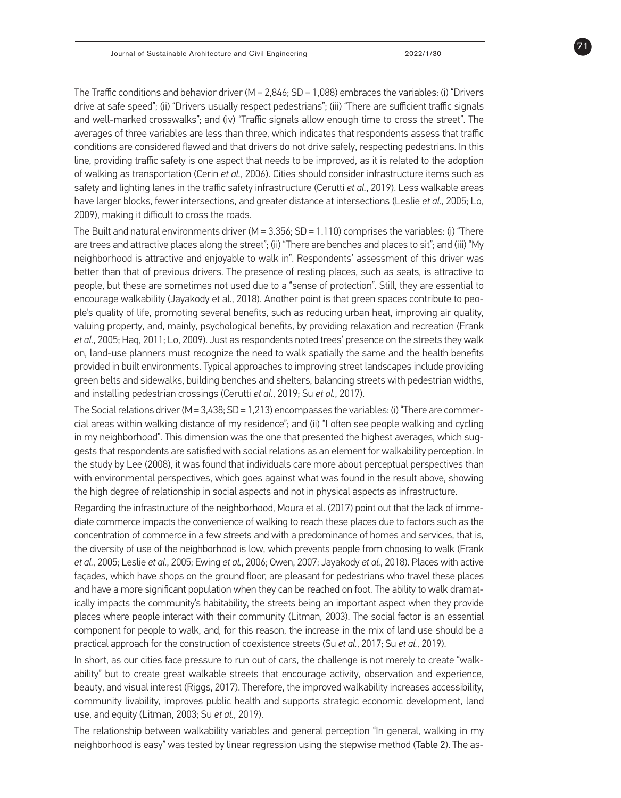71

The Traffic conditions and behavior driver (M =  $2,846$ ; SD = 1,088) embraces the variables: (i) "Drivers drive at safe speed"; (ii) "Drivers usually respect pedestrians"; (iii) "There are sufficient traffic signals and well-marked crosswalks"; and (iv) "Traffic signals allow enough time to cross the street". The averages of three variables are less than three, which indicates that respondents assess that traffic conditions are considered flawed and that drivers do not drive safely, respecting pedestrians. In this line, providing traffic safety is one aspect that needs to be improved, as it is related to the adoption of walking as transportation (Cerin *et al.*, 2006). Cities should consider infrastructure items such as safety and lighting lanes in the traffic safety infrastructure (Cerutti *et al.*, 2019). Less walkable areas have larger blocks, fewer intersections, and greater distance at intersections (Leslie *et al.*, 2005; Lo, 2009), making it difficult to cross the roads.

The Built and natural environments driver ( $M = 3.356$ ; SD = 1.110) comprises the variables: (i) "There are trees and attractive places along the street"; (ii) "There are benches and places to sit"; and (iii) "My neighborhood is attractive and enjoyable to walk in". Respondents' assessment of this driver was better than that of previous drivers. The presence of resting places, such as seats, is attractive to people, but these are sometimes not used due to a "sense of protection". Still, they are essential to encourage walkability (Jayakody et al., 2018). Another point is that green spaces contribute to people's quality of life, promoting several benefits, such as reducing urban heat, improving air quality, valuing property, and, mainly, psychological benefits, by providing relaxation and recreation (Frank *et al.*, 2005; Haq, 2011; Lo, 2009). Just as respondents noted trees' presence on the streets they walk on, land-use planners must recognize the need to walk spatially the same and the health benefits provided in built environments. Typical approaches to improving street landscapes include providing green belts and sidewalks, building benches and shelters, balancing streets with pedestrian widths, and installing pedestrian crossings (Cerutti *et al.*, 2019; Su *et al.*, 2017).

The Social relations driver ( $M = 3,438$ ;  $SD = 1,213$ ) encompasses the variables: (i) "There are commercial areas within walking distance of my residence"; and (ii) "I often see people walking and cycling in my neighborhood". This dimension was the one that presented the highest averages, which suggests that respondents are satisfied with social relations as an element for walkability perception. In the study by Lee (2008), it was found that individuals care more about perceptual perspectives than with environmental perspectives, which goes against what was found in the result above, showing the high degree of relationship in social aspects and not in physical aspects as infrastructure.

Regarding the infrastructure of the neighborhood, Moura et al. (2017) point out that the lack of immediate commerce impacts the convenience of walking to reach these places due to factors such as the concentration of commerce in a few streets and with a predominance of homes and services, that is, the diversity of use of the neighborhood is low, which prevents people from choosing to walk (Frank *et al.*, 2005; Leslie *et al.*, 2005; Ewing *et al.*, 2006; Owen, 2007; Jayakody *et al.*, 2018). Places with active façades, which have shops on the ground floor, are pleasant for pedestrians who travel these places and have a more significant population when they can be reached on foot. The ability to walk dramatically impacts the community's habitability, the streets being an important aspect when they provide places where people interact with their community (Litman, 2003). The social factor is an essential component for people to walk, and, for this reason, the increase in the mix of land use should be a practical approach for the construction of coexistence streets (Su *et al.*, 2017; Su *et al.*, 2019).

In short, as our cities face pressure to run out of cars, the challenge is not merely to create "walkability" but to create great walkable streets that encourage activity, observation and experience, beauty, and visual interest (Riggs, 2017). Therefore, the improved walkability increases accessibility, community livability, improves public health and supports strategic economic development, land use, and equity (Litman, 2003; Su *et al.*, 2019).

The relationship between walkability variables and general perception "In general, walking in my neighborhood is easy" was tested by linear regression using the stepwise method (Table 2). The as-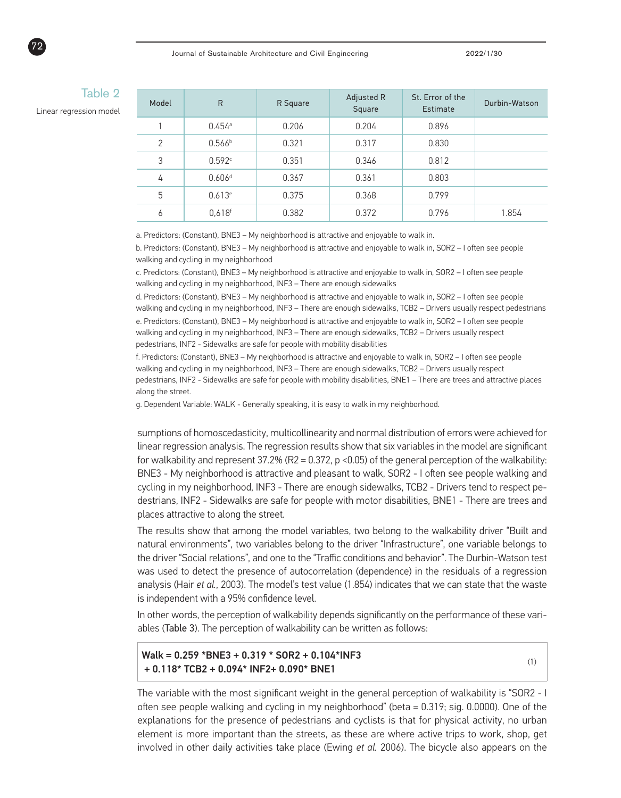| lable 2<br>Model<br>Linear regression model |                | $\mathsf{R}$         | R Square | Adjusted R<br>Square | St. Error of the<br>Estimate | Durbin-Watson |
|---------------------------------------------|----------------|----------------------|----------|----------------------|------------------------------|---------------|
|                                             |                | $0.454$ <sup>a</sup> | 0.206    | 0.204                | 0.896                        |               |
|                                             | $\overline{2}$ | 0.566 <sup>b</sup>   | 0.321    | 0.317                | 0.830                        |               |
|                                             | 3              | 0.592c               | 0.351    | 0.346                | 0.812                        |               |
|                                             | 4              | 0.606 <sup>d</sup>   | 0.367    | 0.361                | 0.803                        |               |
|                                             | 5              | 0.613e               | 0.375    | 0.368                | 0.799                        |               |
|                                             | 6              | $0,618$ <sup>f</sup> | 0.382    | 0.372                | 0.796                        | 1.854         |

a. Predictors: (Constant), BNE3 – My neighborhood is attractive and enjoyable to walk in.

b. Predictors: (Constant), BNE3 – My neighborhood is attractive and enjoyable to walk in, SOR2 – I often see people walking and cycling in my neighborhood

c. Predictors: (Constant), BNE3 – My neighborhood is attractive and enjoyable to walk in, SOR2 – I often see people walking and cycling in my neighborhood, INF3 – There are enough sidewalks

d. Predictors: (Constant), BNE3 – My neighborhood is attractive and enjoyable to walk in, SOR2 – I often see people walking and cycling in my neighborhood, INF3 – There are enough sidewalks, TCB2 – Drivers usually respect pedestrians e. Predictors: (Constant), BNE3 – My neighborhood is attractive and enjoyable to walk in, SOR2 – I often see people walking and cycling in my neighborhood, INF3 – There are enough sidewalks, TCB2 – Drivers usually respect pedestrians, INF2 - Sidewalks are safe for people with mobility disabilities

f. Predictors: (Constant), BNE3 – My neighborhood is attractive and enjoyable to walk in, SOR2 – I often see people walking and cycling in my neighborhood, INF3 – There are enough sidewalks, TCB2 – Drivers usually respect pedestrians, INF2 - Sidewalks are safe for people with mobility disabilities, BNE1 – There are trees and attractive places along the street.

g. Dependent Variable: WALK - Generally speaking, it is easy to walk in my neighborhood.

sumptions of homoscedasticity, multicollinearity and normal distribution of errors were achieved for linear regression analysis. The regression results show that six variables in the model are significant for walkability and represent  $37.2\%$  (R2 = 0.372, p <0.05) of the general perception of the walkability: BNE3 - My neighborhood is attractive and pleasant to walk, SOR2 - I often see people walking and cycling in my neighborhood, INF3 - There are enough sidewalks, TCB2 - Drivers tend to respect pedestrians, INF2 - Sidewalks are safe for people with motor disabilities, BNE1 - There are trees and places attractive to along the street.

The results show that among the model variables, two belong to the walkability driver "Built and natural environments", two variables belong to the driver "Infrastructure", one variable belongs to the driver "Social relations", and one to the "Traffic conditions and behavior". The Durbin-Watson test was used to detect the presence of autocorrelation (dependence) in the residuals of a regression analysis (Hair *et al.*, 2003). The model's test value (1.854) indicates that we can state that the waste is independent with a 95% confidence level.

In other words, the perception of walkability depends significantly on the performance of these variables (Table 3). The perception of walkability can be written as follows:

Walk = 0.259 \*BNE3 + 0.319 \* SOR2 + 0.104\*INF3  $+ 0.118* TCR2 + 0.094* INF2 + 0.090* INF1$  (1)

The variable with the most significant weight in the general perception of walkability is "SOR2 - I often see people walking and cycling in my neighborhood" (beta = 0.319; sig. 0.0000). One of the explanations for the presence of pedestrians and cyclists is that for physical activity, no urban element is more important than the streets, as these are where active trips to work, shop, get involved in other daily activities take place (Ewing *et al.* 2006). The bicycle also appears on the



## **Table**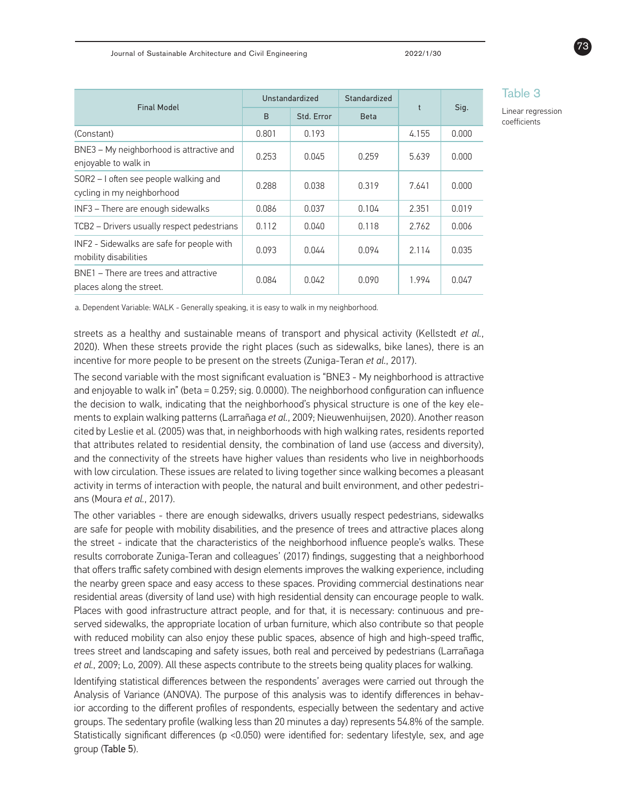| Standardized |       |       | Table 3<br>Linear regr<br>coefficients |  |  |
|--------------|-------|-------|----------------------------------------|--|--|
| <b>Beta</b>  |       | Sig.  |                                        |  |  |
|              | 4.155 | 0.000 |                                        |  |  |
| 0.259        | 5.639 | 0.000 |                                        |  |  |

Table 3

ession

| <b>Final Model</b>                                                  | Unstandardized |            | Standardized |            |       |
|---------------------------------------------------------------------|----------------|------------|--------------|------------|-------|
|                                                                     | B              | Std. Error | <b>Beta</b>  | $\ddagger$ | Sig.  |
| (Constant)                                                          | 0.801          | 0.193      |              | 4.155      | 0.000 |
| BNE3 - My neighborhood is attractive and<br>enjoyable to walk in    | 0.253          | 0.045      | 0.259        | 5.639      | 0.000 |
| SOR2 - I often see people walking and<br>cycling in my neighborhood | 0.288          | 0.038      | 0.319        | 7.641      | 0.000 |
| INF3 - There are enough sidewalks                                   | 0.086          | 0.037      | 0.104        | 2.351      | 0.019 |
| TCB2 - Drivers usually respect pedestrians                          | 0.112          | 0.040      | 0.118        | 2.762      | 0.006 |
| INF2 - Sidewalks are safe for people with<br>mobility disabilities  | 0.093          | 0.044      | 0.094        | 2.114      | 0.035 |
| BNE1 – There are trees and attractive<br>places along the street.   | 0.084          | 0.042      | 0.090        | 1.994      | 0.047 |

a. Dependent Variable: WALK - Generally speaking, it is easy to walk in my neighborhood.

streets as a healthy and sustainable means of transport and physical activity (Kellstedt *et al.*, 2020). When these streets provide the right places (such as sidewalks, bike lanes), there is an incentive for more people to be present on the streets (Zuniga-Teran *et al.*, 2017).

The second variable with the most significant evaluation is "BNE3 - My neighborhood is attractive and enjoyable to walk in" (beta = 0.259; sig. 0.0000). The neighborhood configuration can influence the decision to walk, indicating that the neighborhood's physical structure is one of the key elements to explain walking patterns (Larrañaga *et al.*, 2009; Nieuwenhuijsen, 2020). Another reason cited by Leslie et al. (2005) was that, in neighborhoods with high walking rates, residents reported that attributes related to residential density, the combination of land use (access and diversity), and the connectivity of the streets have higher values than residents who live in neighborhoods with low circulation. These issues are related to living together since walking becomes a pleasant activity in terms of interaction with people, the natural and built environment, and other pedestrians (Moura *et al.*, 2017).

The other variables - there are enough sidewalks, drivers usually respect pedestrians, sidewalks are safe for people with mobility disabilities, and the presence of trees and attractive places along the street - indicate that the characteristics of the neighborhood influence people's walks. These results corroborate Zuniga-Teran and colleagues' (2017) findings, suggesting that a neighborhood that offers traffic safety combined with design elements improves the walking experience, including the nearby green space and easy access to these spaces. Providing commercial destinations near residential areas (diversity of land use) with high residential density can encourage people to walk. Places with good infrastructure attract people, and for that, it is necessary: continuous and preserved sidewalks, the appropriate location of urban furniture, which also contribute so that people with reduced mobility can also enjoy these public spaces, absence of high and high-speed traffic, trees street and landscaping and safety issues, both real and perceived by pedestrians (Larrañaga *et al.*, 2009; Lo, 2009). All these aspects contribute to the streets being quality places for walking.

Identifying statistical differences between the respondents' averages were carried out through the Analysis of Variance (ANOVA). The purpose of this analysis was to identify differences in behavior according to the different profiles of respondents, especially between the sedentary and active groups. The sedentary profile (walking less than 20 minutes a day) represents 54.8% of the sample. Statistically significant differences (p <0.050) were identified for: sedentary lifestyle, sex, and age group (Table 5).

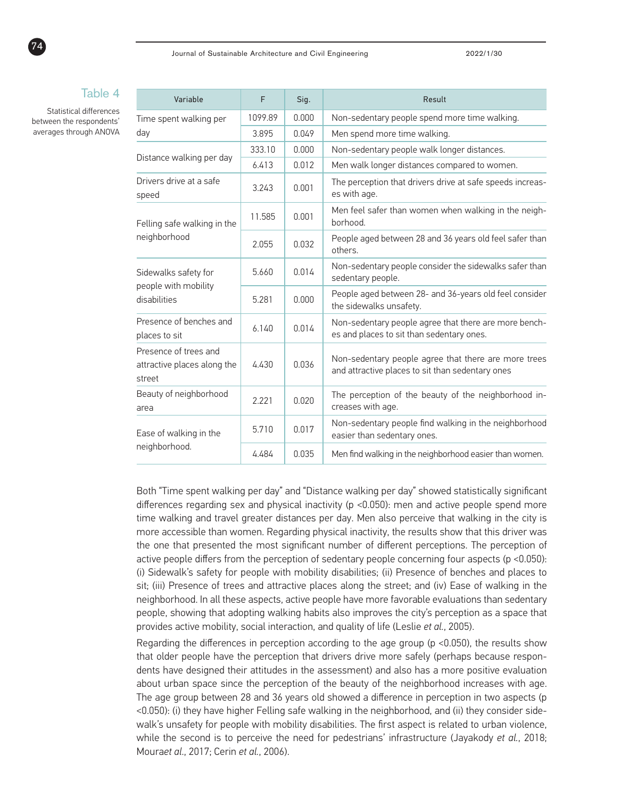#### Table 4

Statistical differences between the respondents' averages through ANOVA

74

| Variable                                                       | F       | Sig.  | Result                                                                                                   |
|----------------------------------------------------------------|---------|-------|----------------------------------------------------------------------------------------------------------|
| Time spent walking per                                         | 1099.89 | 0.000 | Non-sedentary people spend more time walking.                                                            |
| day                                                            | 3.895   | 0.049 | Men spend more time walking.                                                                             |
| Distance walking per day                                       | 333.10  | 0.000 | Non-sedentary people walk longer distances.                                                              |
|                                                                | 6.413   | 0.012 | Men walk longer distances compared to women.                                                             |
| Drivers drive at a safe<br>speed                               | 3.243   | 0.001 | The perception that drivers drive at safe speeds increas-<br>es with age.                                |
| Felling safe walking in the<br>neighborhood                    | 11.585  | 0.001 | Men feel safer than women when walking in the neigh-<br>borhood.                                         |
|                                                                | 2.055   | 0.032 | People aged between 28 and 36 years old feel safer than<br>others.                                       |
| Sidewalks safety for<br>people with mobility<br>disabilities   | 5.660   | 0.014 | Non-sedentary people consider the sidewalks safer than<br>sedentary people.                              |
|                                                                | 5.281   | 0.000 | People aged between 28- and 36-years old feel consider<br>the sidewalks unsafety.                        |
| Presence of benches and<br>places to sit                       | 6.140   | 0.014 | Non-sedentary people agree that there are more bench-<br>es and places to sit than sedentary ones.       |
| Presence of trees and<br>attractive places along the<br>street | 4.430   | 0.036 | Non-sedentary people agree that there are more trees<br>and attractive places to sit than sedentary ones |
| Beauty of neighborhood<br>area                                 | 2.221   | 0.020 | The perception of the beauty of the neighborhood in-<br>creases with age.                                |
| Ease of walking in the<br>neighborhood.                        | 5.710   | 0.017 | Non-sedentary people find walking in the neighborhood<br>easier than sedentary ones.                     |
|                                                                | 4.484   | 0.035 | Men find walking in the neighborhood easier than women.                                                  |

Both "Time spent walking per day" and "Distance walking per day" showed statistically significant differences regarding sex and physical inactivity (p <0.050): men and active people spend more time walking and travel greater distances per day. Men also perceive that walking in the city is more accessible than women. Regarding physical inactivity, the results show that this driver was the one that presented the most significant number of different perceptions. The perception of active people differs from the perception of sedentary people concerning four aspects (p <0.050): (i) Sidewalk's safety for people with mobility disabilities; (ii) Presence of benches and places to sit; (iii) Presence of trees and attractive places along the street; and (iv) Ease of walking in the neighborhood. In all these aspects, active people have more favorable evaluations than sedentary people, showing that adopting walking habits also improves the city's perception as a space that provides active mobility, social interaction, and quality of life (Leslie *et al.*, 2005).

Regarding the differences in perception according to the age group (p <0.050), the results show that older people have the perception that drivers drive more safely (perhaps because respondents have designed their attitudes in the assessment) and also has a more positive evaluation about urban space since the perception of the beauty of the neighborhood increases with age. The age group between 28 and 36 years old showed a difference in perception in two aspects (p <0.050): (i) they have higher Felling safe walking in the neighborhood, and (ii) they consider sidewalk's unsafety for people with mobility disabilities. The first aspect is related to urban violence, while the second is to perceive the need for pedestrians' infrastructure (Jayakody *et al.*, 2018; Moura*et al*., 2017; Cerin *et al.*, 2006).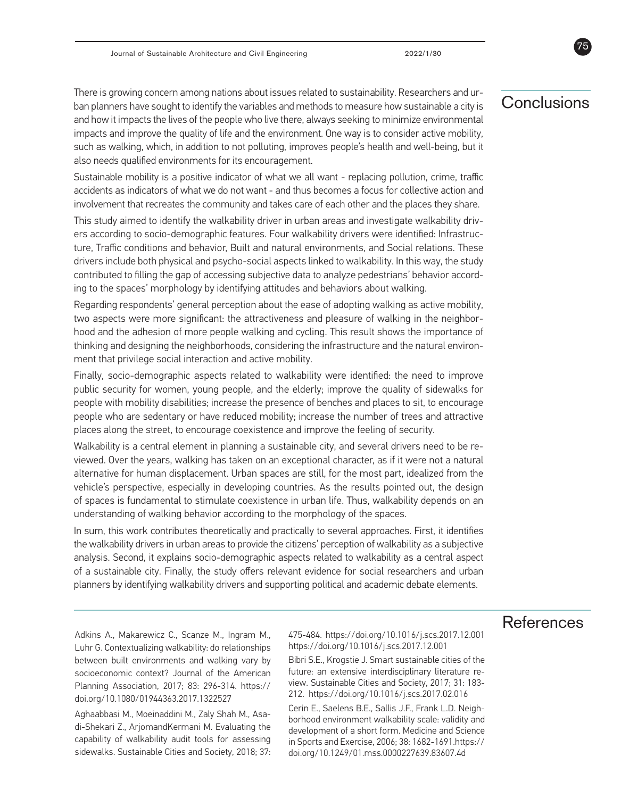There is growing concern among nations about issues related to sustainability. Researchers and urban planners have sought to identify the variables and methods to measure how sustainable a city is and how it impacts the lives of the people who live there, always seeking to minimize environmental impacts and improve the quality of life and the environment. One way is to consider active mobility, such as walking, which, in addition to not polluting, improves people's health and well-being, but it also needs qualified environments for its encouragement.

Sustainable mobility is a positive indicator of what we all want - replacing pollution, crime, traffic accidents as indicators of what we do not want - and thus becomes a focus for collective action and involvement that recreates the community and takes care of each other and the places they share.

This study aimed to identify the walkability driver in urban areas and investigate walkability drivers according to socio-demographic features. Four walkability drivers were identified: Infrastructure, Traffic conditions and behavior, Built and natural environments, and Social relations. These drivers include both physical and psycho-social aspects linked to walkability. In this way, the study contributed to filling the gap of accessing subjective data to analyze pedestrians' behavior according to the spaces' morphology by identifying attitudes and behaviors about walking.

Regarding respondents' general perception about the ease of adopting walking as active mobility, two aspects were more significant: the attractiveness and pleasure of walking in the neighborhood and the adhesion of more people walking and cycling. This result shows the importance of thinking and designing the neighborhoods, considering the infrastructure and the natural environment that privilege social interaction and active mobility.

Finally, socio-demographic aspects related to walkability were identified: the need to improve public security for women, young people, and the elderly; improve the quality of sidewalks for people with mobility disabilities; increase the presence of benches and places to sit, to encourage people who are sedentary or have reduced mobility; increase the number of trees and attractive places along the street, to encourage coexistence and improve the feeling of security.

Walkability is a central element in planning a sustainable city, and several drivers need to be reviewed. Over the years, walking has taken on an exceptional character, as if it were not a natural alternative for human displacement. Urban spaces are still, for the most part, idealized from the vehicle's perspective, especially in developing countries. As the results pointed out, the design of spaces is fundamental to stimulate coexistence in urban life. Thus, walkability depends on an understanding of walking behavior according to the morphology of the spaces.

In sum, this work contributes theoretically and practically to several approaches. First, it identifies the walkability drivers in urban areas to provide the citizens' perception of walkability as a subjective analysis. Second, it explains socio-demographic aspects related to walkability as a central aspect of a sustainable city. Finally, the study offers relevant evidence for social researchers and urban planners by identifying walkability drivers and supporting political and academic debate elements.

## **References**

Adkins A., Makarewicz C., Scanze M., Ingram M., Luhr G. Contextualizing walkability: do relationships between built environments and walking vary by socioeconomic context? Journal of the American Planning Association, 2017; 83: 296-314. https:// doi.org/10.1080/01944363.2017.1322527

Aghaabbasi M., Moeinaddini M., Zaly Shah M., Asadi-Shekari Z., ArjomandKermani M. Evaluating the capability of walkability audit tools for assessing sidewalks. Sustainable Cities and Society, 2018; 37: 475-484. https://doi.org/10.1016/j.scs.2017.12.001 https://doi.org/10.1016/j.scs.2017.12.001

Bibri S.E., Krogstie J. Smart sustainable cities of the future: an extensive interdisciplinary literature review. Sustainable Cities and Society, 2017; 31: 183- 212. https://doi.org/10.1016/j.scs.2017.02.016

Cerin E., Saelens B.E., Sallis J.F., Frank L.D. Neighborhood environment walkability scale: validity and development of a short form. Medicine and Science in Sports and Exercise, 2006; 38: 1682-1691.https:// doi.org/10.1249/01.mss.0000227639.83607.4d

## Conclusions

75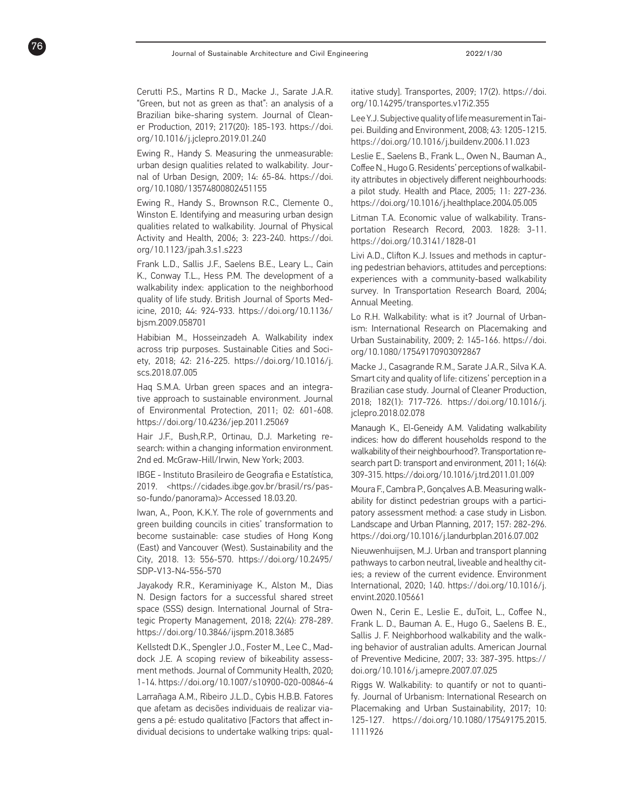Cerutti P.S., Martins R D., Macke J., Sarate J.A.R. "Green, but not as green as that": an analysis of a Brazilian bike-sharing system. Journal of Clean er Production, 2019; 217(20): 185-193. https://doi. org/10.1016/j.jclepro.2019.01.240

76

Ewing R., Handy S. Measuring the unmeasurable: urban design qualities related to walkability. Jour nal of Urban Design, 2009; 14: 65-84. https://doi. org/10.1080/13574800802451155

Ewing R., Handy S., Brownson R.C., Clemente O., Winston E. Identifying and measuring urban design qualities related to walkability. Journal of Physical Activity and Health, 2006; 3: 223-240. https://doi. org/10.1123/jpah.3.s1.s223

Frank L.D., Sallis J.F., Saelens B.E., Leary L., Cain K., Conway T.L., Hess P.M. The development of a walkability index: application to the neighborhood quality of life study. British Journal of Sports Med icine, 2010; 44: 924-933. https://doi.org/10.1136/ bjsm.2009.058701

Habibian M., Hosseinzadeh A. Walkability index across trip purposes. Sustainable Cities and Soci ety, 2018; 42: 216-225. https://doi.org/10.1016/j. scs.2018.07.005

Haq S.M.A. Urban green spaces and an integra tive approach to sustainable environment. Journal of Environmental Protection, 2011; 02: 601-608. https://doi.org/10.4236/jep.2011.25069

Hair J.F., Bush,R.P., Ortinau, D.J. Marketing re search: within a changing information environment. 2nd ed. McGraw-Hill/Irwin, New York; 2003.

IBGE - Instituto Brasileiro de Geografia e Estatística, 2019. <https://cidades.ibge.gov.br/brasil/rs/pas so-fundo/panorama)> Accessed 18.03.20.

Iwan, A., Poon, K.K.Y. The role of governments and green building councils in cities' transformation to become sustainable: case studies of Hong Kong (East) and Vancouver (West). Sustainability and the City, 2018. 13: 556-570. https://doi.org/10.2495/ SDP-V13-N4-556-570

Jayakody R.R., Keraminiyage K., Alston M., Dias N. Design factors for a successful shared street space (SSS) design. International Journal of Stra tegic Property Management, 2018; 22(4): 278-289. https://doi.org/10.3846/ijspm.2018.3685

Kellstedt D.K., Spengler J.O., Foster M., Lee C., Mad dock J.E. A scoping review of bikeability assess ment methods. Journal of Community Health, 2020; 1-14. https://doi.org/10.1007/s10900-020-00846-4

Larrañaga A.M., Ribeiro J.L.D., Cybis H.B.B. Fatores que afetam as decisões individuais de realizar via gens a pé: estudo qualitativo [Factors that affect in dividual decisions to undertake walking trips: qual -

itative study]. Transportes, 2009; 17(2). https://doi. org/10.14295/transportes.v17i2.355

Lee Y.J. Subjective quality of life measurement in Tai pei. Building and Environment, 2008; 43: 1205-1215. https://doi.org/10.1016/j.buildenv.2006.11.023

Leslie E., Saelens B., Frank L., Owen N., Bauman A., Coffee N., Hugo G. Residents' perceptions of walkabil ity attributes in objectively different neighbourhoods: a pilot study. Health and Place, 2005; 11: 227-236. https://doi.org/10.1016/j.healthplace.2004.05.005

Litman T.A. Economic value of walkability. Trans portation Research Record, 2003. 1828: 3-11. https://doi.org/10.3141/1828-01

Livi A.D., Clifton K.J. Issues and methods in captur ing pedestrian behaviors, attitudes and perceptions: experiences with a community-based walkability survey. In Transportation Research Board, 2004; Annual Meeting.

Lo R.H. Walkability: what is it? Journal of Urban ism: International Research on Placemaking and Urban Sustainability, 2009; 2: 145-166. https://doi. org/10.1080/17549170903092867

Macke J., Casagrande R.M., Sarate J.A.R., Silva K.A. Smart city and quality of life: citizens' perception in a Brazilian case study. Journal of Cleaner Production, 2018; 182(1): 717-726. https://doi.org/10.1016/j. jclepro.2018.02.078

Manaugh K., El-Geneidy A.M. Validating walkability indices: how do different households respond to the walkability of their neighbourhood?. Transportation re search part D: transport and environment, 2011; 16(4): 309-315. https://doi.org/10.1016/j.trd.2011.01.009

Moura F., Cambra P., Gonçalves A.B. Measuring walk ability for distinct pedestrian groups with a partici patory assessment method: a case study in Lisbon. Landscape and Urban Planning, 2017; 157: 282-296. https://doi.org/10.1016/j.landurbplan.2016.07.002

Nieuwenhuijsen, M.J. Urban and transport planning pathways to carbon neutral, liveable and healthy cit ies; a review of the current evidence. Environment International, 2020; 140. https://doi.org/10.1016/j. envint.2020.105661

Owen N., Cerin E., Leslie E., duToit, L., Coffee N., Frank L. D., Bauman A. E., Hugo G., Saelens B. E., Sallis J. F. Neighborhood walkability and the walk ing behavior of australian adults. American Journal of Preventive Medicine, 2007; 33: 387-395. https:// doi.org/10.1016/j.amepre.2007.07.025

Riggs W. Walkability: to quantify or not to quanti fy. Journal of Urbanism: International Research on Placemaking and Urban Sustainability, 2017; 10: 125-127. https://doi.org/10.1080/17549175.2015. 1111926